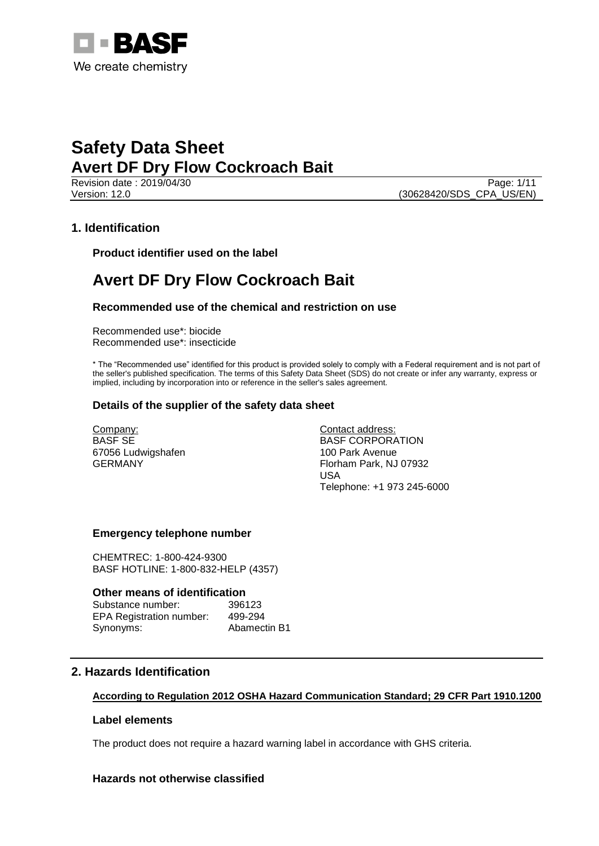

Revision date : 2019/04/30 Page: 1/11 Version: 12.0 (30628420/SDS\_CPA\_US/EN)

# **1. Identification**

**Product identifier used on the label**

# **Avert DF Dry Flow Cockroach Bait**

# **Recommended use of the chemical and restriction on use**

Recommended use\*: biocide Recommended use\*: insecticide

\* The "Recommended use" identified for this product is provided solely to comply with a Federal requirement and is not part of the seller's published specification. The terms of this Safety Data Sheet (SDS) do not create or infer any warranty, express or implied, including by incorporation into or reference in the seller's sales agreement.

## **Details of the supplier of the safety data sheet**

Company: BASF SE 67056 Ludwigshafen GERMANY

Contact address: BASF CORPORATION 100 Park Avenue Florham Park, NJ 07932 USA Telephone: +1 973 245-6000

## **Emergency telephone number**

CHEMTREC: 1-800-424-9300 BASF HOTLINE: 1-800-832-HELP (4357)

#### **Other means of identification**

| Substance number:               | 396123       |
|---------------------------------|--------------|
| <b>EPA Registration number:</b> | 499-294      |
| Synonyms:                       | Abamectin B1 |

# **2. Hazards Identification**

#### **According to Regulation 2012 OSHA Hazard Communication Standard; 29 CFR Part 1910.1200**

## **Label elements**

The product does not require a hazard warning label in accordance with GHS criteria.

# **Hazards not otherwise classified**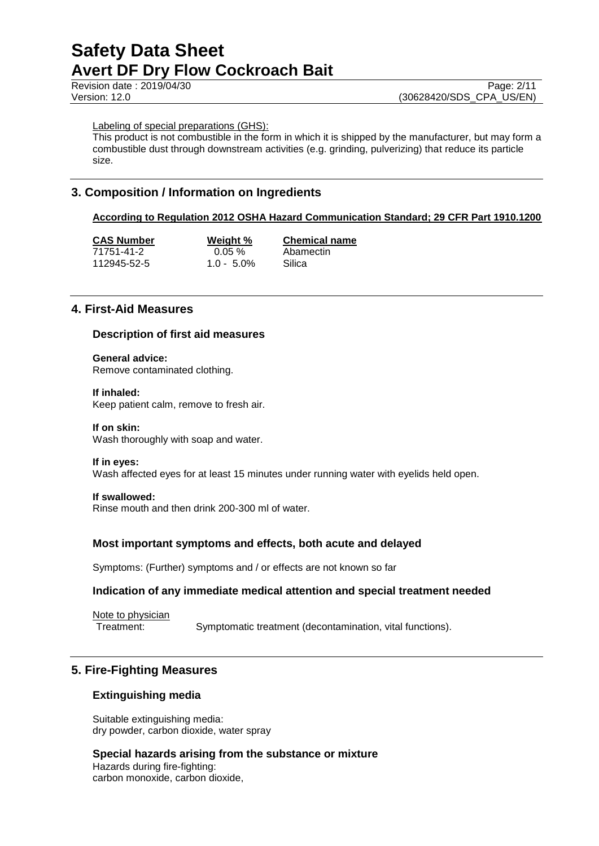Revision date : 2019/04/30 Page: 2/11<br>Version: 12.0 (30628420/SDS CPA US/EN) (30628420/SDS\_CPA\_US/EN)

Labeling of special preparations (GHS):

This product is not combustible in the form in which it is shipped by the manufacturer, but may form a combustible dust through downstream activities (e.g. grinding, pulverizing) that reduce its particle size.

# **3. Composition / Information on Ingredients**

## **According to Regulation 2012 OSHA Hazard Communication Standard; 29 CFR Part 1910.1200**

| <b>CAS Number</b> | Weight %      | <b>Chemical name</b> |
|-------------------|---------------|----------------------|
| 71751-41-2        | $0.05 \%$     | Abamectin            |
| 112945-52-5       | $1.0 - 5.0\%$ | Silica               |

# **4. First-Aid Measures**

## **Description of first aid measures**

**General advice:** Remove contaminated clothing.

#### **If inhaled:**

Keep patient calm, remove to fresh air.

#### **If on skin:**

Wash thoroughly with soap and water.

#### **If in eyes:**

Wash affected eyes for at least 15 minutes under running water with eyelids held open.

#### **If swallowed:**

Rinse mouth and then drink 200-300 ml of water.

#### **Most important symptoms and effects, both acute and delayed**

Symptoms: (Further) symptoms and / or effects are not known so far

#### **Indication of any immediate medical attention and special treatment needed**

Note to physician Treatment: Symptomatic treatment (decontamination, vital functions).

# **5. Fire-Fighting Measures**

#### **Extinguishing media**

Suitable extinguishing media: dry powder, carbon dioxide, water spray

**Special hazards arising from the substance or mixture** Hazards during fire-fighting: carbon monoxide, carbon dioxide,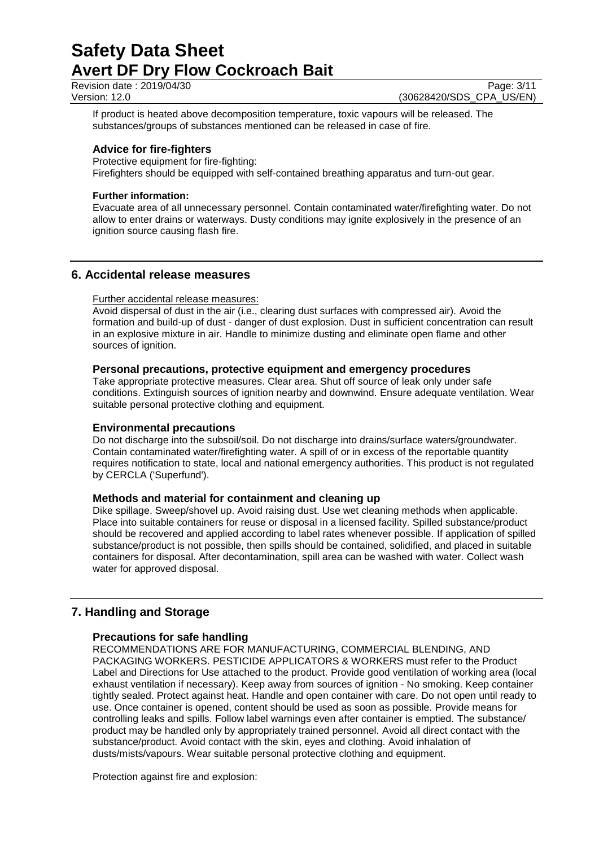Revision date : 2019/04/30 Page: 3/11<br>Version: 12.0 (30628420/SDS CPA US/EN)

(30628420/SDS\_CPA\_US/EN)

If product is heated above decomposition temperature, toxic vapours will be released. The substances/groups of substances mentioned can be released in case of fire.

# **Advice for fire-fighters**

Protective equipment for fire-fighting:

Firefighters should be equipped with self-contained breathing apparatus and turn-out gear.

## **Further information:**

Evacuate area of all unnecessary personnel. Contain contaminated water/firefighting water. Do not allow to enter drains or waterways. Dusty conditions may ignite explosively in the presence of an ignition source causing flash fire.

# **6. Accidental release measures**

## Further accidental release measures:

Avoid dispersal of dust in the air (i.e., clearing dust surfaces with compressed air). Avoid the formation and build-up of dust - danger of dust explosion. Dust in sufficient concentration can result in an explosive mixture in air. Handle to minimize dusting and eliminate open flame and other sources of ignition.

# **Personal precautions, protective equipment and emergency procedures**

Take appropriate protective measures. Clear area. Shut off source of leak only under safe conditions. Extinguish sources of ignition nearby and downwind. Ensure adequate ventilation. Wear suitable personal protective clothing and equipment.

# **Environmental precautions**

Do not discharge into the subsoil/soil. Do not discharge into drains/surface waters/groundwater. Contain contaminated water/firefighting water. A spill of or in excess of the reportable quantity requires notification to state, local and national emergency authorities. This product is not regulated by CERCLA ('Superfund').

# **Methods and material for containment and cleaning up**

Dike spillage. Sweep/shovel up. Avoid raising dust. Use wet cleaning methods when applicable. Place into suitable containers for reuse or disposal in a licensed facility. Spilled substance/product should be recovered and applied according to label rates whenever possible. If application of spilled substance/product is not possible, then spills should be contained, solidified, and placed in suitable containers for disposal. After decontamination, spill area can be washed with water. Collect wash water for approved disposal.

# **7. Handling and Storage**

# **Precautions for safe handling**

RECOMMENDATIONS ARE FOR MANUFACTURING, COMMERCIAL BLENDING, AND PACKAGING WORKERS. PESTICIDE APPLICATORS & WORKERS must refer to the Product Label and Directions for Use attached to the product. Provide good ventilation of working area (local exhaust ventilation if necessary). Keep away from sources of ignition - No smoking. Keep container tightly sealed. Protect against heat. Handle and open container with care. Do not open until ready to use. Once container is opened, content should be used as soon as possible. Provide means for controlling leaks and spills. Follow label warnings even after container is emptied. The substance/ product may be handled only by appropriately trained personnel. Avoid all direct contact with the substance/product. Avoid contact with the skin, eyes and clothing. Avoid inhalation of dusts/mists/vapours. Wear suitable personal protective clothing and equipment.

Protection against fire and explosion: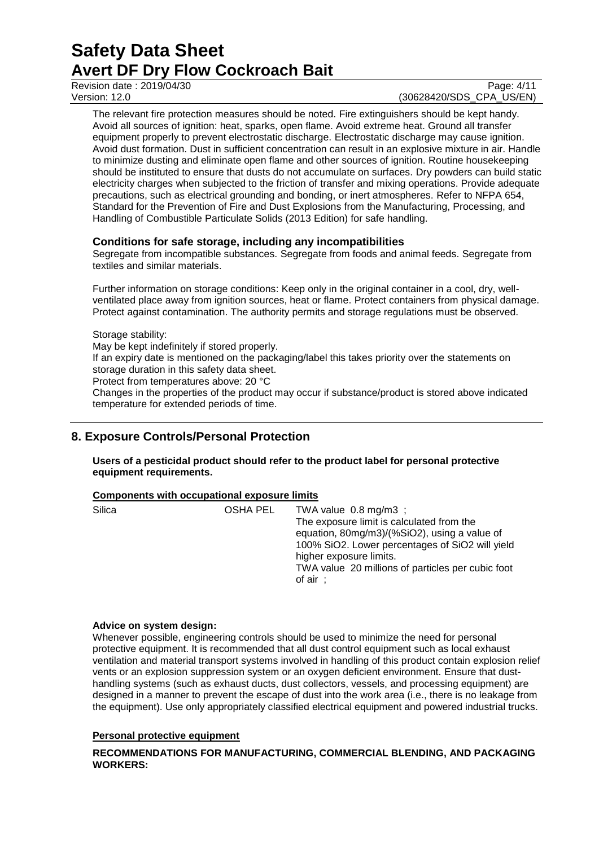Revision date : 2019/04/30 Page: 4/11<br>Version: 12.0 (30628420/SDS CPA US/EN)

(30628420/SDS\_CPA\_US/EN)

The relevant fire protection measures should be noted. Fire extinguishers should be kept handy. Avoid all sources of ignition: heat, sparks, open flame. Avoid extreme heat. Ground all transfer equipment properly to prevent electrostatic discharge. Electrostatic discharge may cause ignition. Avoid dust formation. Dust in sufficient concentration can result in an explosive mixture in air. Handle to minimize dusting and eliminate open flame and other sources of ignition. Routine housekeeping should be instituted to ensure that dusts do not accumulate on surfaces. Dry powders can build static electricity charges when subjected to the friction of transfer and mixing operations. Provide adequate precautions, such as electrical grounding and bonding, or inert atmospheres. Refer to NFPA 654, Standard for the Prevention of Fire and Dust Explosions from the Manufacturing, Processing, and Handling of Combustible Particulate Solids (2013 Edition) for safe handling.

# **Conditions for safe storage, including any incompatibilities**

Segregate from incompatible substances. Segregate from foods and animal feeds. Segregate from textiles and similar materials.

Further information on storage conditions: Keep only in the original container in a cool, dry, wellventilated place away from ignition sources, heat or flame. Protect containers from physical damage. Protect against contamination. The authority permits and storage regulations must be observed.

#### Storage stability:

May be kept indefinitely if stored properly. If an expiry date is mentioned on the packaging/label this takes priority over the statements on storage duration in this safety data sheet. Protect from temperatures above: 20 °C Changes in the properties of the product may occur if substance/product is stored above indicated temperature for extended periods of time.

# **8. Exposure Controls/Personal Protection**

**Users of a pesticidal product should refer to the product label for personal protective equipment requirements.**

#### **Components with occupational exposure limits**

| Silica | OSHA PEL | TWA value $0.8 \text{ mg/m3}$ ;<br>The exposure limit is calculated from the<br>equation, 80mg/m3)/(%SiO2), using a value of<br>100% SiO2. Lower percentages of SiO2 will yield<br>higher exposure limits.<br>TWA value 20 millions of particles per cubic foot<br>of $air$ ; |
|--------|----------|-------------------------------------------------------------------------------------------------------------------------------------------------------------------------------------------------------------------------------------------------------------------------------|
|--------|----------|-------------------------------------------------------------------------------------------------------------------------------------------------------------------------------------------------------------------------------------------------------------------------------|

#### **Advice on system design:**

Whenever possible, engineering controls should be used to minimize the need for personal protective equipment. It is recommended that all dust control equipment such as local exhaust ventilation and material transport systems involved in handling of this product contain explosion relief vents or an explosion suppression system or an oxygen deficient environment. Ensure that dusthandling systems (such as exhaust ducts, dust collectors, vessels, and processing equipment) are designed in a manner to prevent the escape of dust into the work area (i.e., there is no leakage from the equipment). Use only appropriately classified electrical equipment and powered industrial trucks.

### **Personal protective equipment**

**RECOMMENDATIONS FOR MANUFACTURING, COMMERCIAL BLENDING, AND PACKAGING WORKERS:**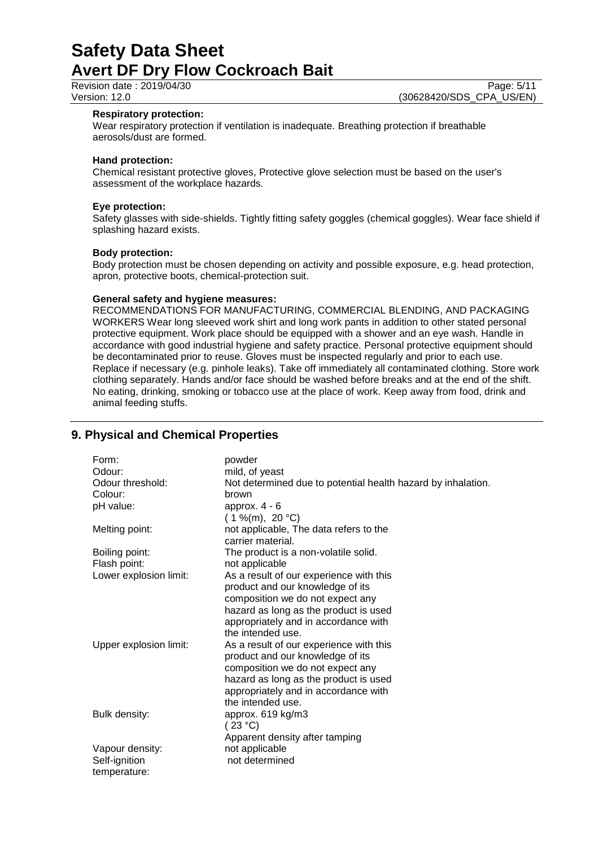Revision date : 2019/04/30 Page: 5/11<br>Version: 12.0 (30628420/SDS CPA US/EN)

#### **Respiratory protection:**

Wear respiratory protection if ventilation is inadequate. Breathing protection if breathable aerosols/dust are formed.

#### **Hand protection:**

Chemical resistant protective gloves, Protective glove selection must be based on the user's assessment of the workplace hazards.

# **Eye protection:**

Safety glasses with side-shields. Tightly fitting safety goggles (chemical goggles). Wear face shield if splashing hazard exists.

#### **Body protection:**

Body protection must be chosen depending on activity and possible exposure, e.g. head protection, apron, protective boots, chemical-protection suit.

#### **General safety and hygiene measures:**

RECOMMENDATIONS FOR MANUFACTURING, COMMERCIAL BLENDING, AND PACKAGING WORKERS Wear long sleeved work shirt and long work pants in addition to other stated personal protective equipment. Work place should be equipped with a shower and an eye wash. Handle in accordance with good industrial hygiene and safety practice. Personal protective equipment should be decontaminated prior to reuse. Gloves must be inspected regularly and prior to each use. Replace if necessary (e.g. pinhole leaks). Take off immediately all contaminated clothing. Store work clothing separately. Hands and/or face should be washed before breaks and at the end of the shift. No eating, drinking, smoking or tobacco use at the place of work. Keep away from food, drink and animal feeding stuffs.

# **9. Physical and Chemical Properties**

| Form:                  | powder                                                       |
|------------------------|--------------------------------------------------------------|
| Odour:                 | mild, of yeast                                               |
| Odour threshold:       | Not determined due to potential health hazard by inhalation. |
| Colour:                | brown                                                        |
| pH value:              | approx. $4 - 6$                                              |
|                        | $(1\%$ (m), 20 °C)                                           |
| Melting point:         | not applicable, The data refers to the                       |
|                        | carrier material.                                            |
| Boiling point:         | The product is a non-volatile solid.                         |
| Flash point:           | not applicable                                               |
| Lower explosion limit: | As a result of our experience with this                      |
|                        | product and our knowledge of its                             |
|                        | composition we do not expect any                             |
|                        | hazard as long as the product is used                        |
|                        | appropriately and in accordance with                         |
|                        | the intended use.                                            |
| Upper explosion limit: | As a result of our experience with this                      |
|                        | product and our knowledge of its                             |
|                        | composition we do not expect any                             |
|                        | hazard as long as the product is used                        |
|                        | appropriately and in accordance with                         |
|                        | the intended use.                                            |
| Bulk density:          | approx. 619 kg/m3                                            |
|                        | (23 °C)                                                      |
|                        | Apparent density after tamping                               |
| Vapour density:        | not applicable                                               |
| Self-ignition          | not determined                                               |
| temperature:           |                                                              |

(30628420/SDS\_CPA\_US/EN)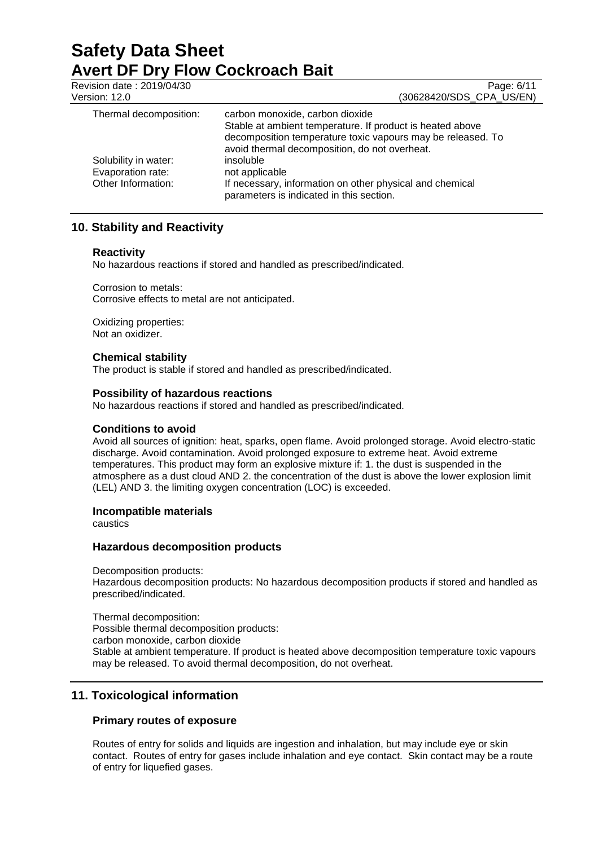| Revision date: 2019/04/30<br>Version: 12.0 | Page: 6/11<br>(30628420/SDS CPA US/EN)                                                                                                                                    |
|--------------------------------------------|---------------------------------------------------------------------------------------------------------------------------------------------------------------------------|
| Thermal decomposition:                     | carbon monoxide, carbon dioxide                                                                                                                                           |
|                                            | Stable at ambient temperature. If product is heated above<br>decomposition temperature toxic vapours may be released. To<br>avoid thermal decomposition, do not overheat. |
| Solubility in water:                       | insoluble                                                                                                                                                                 |
| Evaporation rate:                          | not applicable                                                                                                                                                            |
| Other Information:                         | If necessary, information on other physical and chemical<br>parameters is indicated in this section.                                                                      |

# **10. Stability and Reactivity**

## **Reactivity**

No hazardous reactions if stored and handled as prescribed/indicated.

Corrosion to metals: Corrosive effects to metal are not anticipated.

Oxidizing properties: Not an oxidizer.

## **Chemical stability**

The product is stable if stored and handled as prescribed/indicated.

#### **Possibility of hazardous reactions**

No hazardous reactions if stored and handled as prescribed/indicated.

#### **Conditions to avoid**

Avoid all sources of ignition: heat, sparks, open flame. Avoid prolonged storage. Avoid electro-static discharge. Avoid contamination. Avoid prolonged exposure to extreme heat. Avoid extreme temperatures. This product may form an explosive mixture if: 1. the dust is suspended in the atmosphere as a dust cloud AND 2. the concentration of the dust is above the lower explosion limit (LEL) AND 3. the limiting oxygen concentration (LOC) is exceeded.

## **Incompatible materials**

caustics

#### **Hazardous decomposition products**

Decomposition products: Hazardous decomposition products: No hazardous decomposition products if stored and handled as prescribed/indicated.

Thermal decomposition: Possible thermal decomposition products: carbon monoxide, carbon dioxide Stable at ambient temperature. If product is heated above decomposition temperature toxic vapours may be released. To avoid thermal decomposition, do not overheat.

# **11. Toxicological information**

# **Primary routes of exposure**

Routes of entry for solids and liquids are ingestion and inhalation, but may include eye or skin contact. Routes of entry for gases include inhalation and eye contact. Skin contact may be a route of entry for liquefied gases.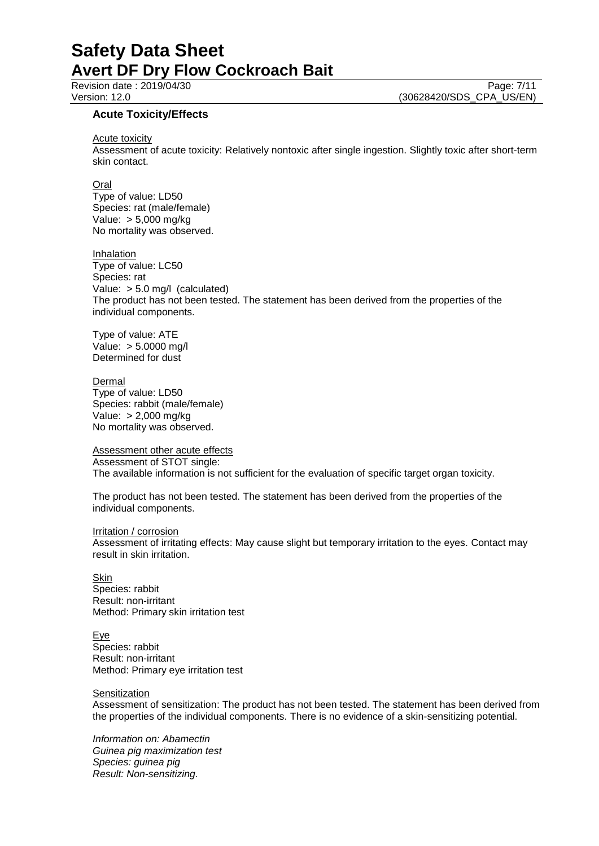Revision date : 2019/04/30 Page: 7/11<br>Version: 12.0 (30628420/SDS CPA US/EN) (30628420/SDS\_CPA\_US/EN)

# **Acute Toxicity/Effects**

Acute toxicity

Assessment of acute toxicity: Relatively nontoxic after single ingestion. Slightly toxic after short-term skin contact.

### **Oral**

Type of value: LD50 Species: rat (male/female) Value: > 5,000 mg/kg No mortality was observed.

#### Inhalation

Type of value: LC50 Species: rat Value: > 5.0 mg/l (calculated) The product has not been tested. The statement has been derived from the properties of the individual components.

Type of value: ATE Value: > 5.0000 mg/l Determined for dust

#### Dermal

Type of value: LD50 Species: rabbit (male/female) Value: > 2,000 mg/kg No mortality was observed.

Assessment other acute effects Assessment of STOT single: The available information is not sufficient for the evaluation of specific target organ toxicity.

The product has not been tested. The statement has been derived from the properties of the individual components.

#### Irritation / corrosion

Assessment of irritating effects: May cause slight but temporary irritation to the eyes. Contact may result in skin irritation.

Skin Species: rabbit Result: non-irritant Method: Primary skin irritation test

Eye Species: rabbit Result: non-irritant Method: Primary eye irritation test

#### **Sensitization**

Assessment of sensitization: The product has not been tested. The statement has been derived from the properties of the individual components. There is no evidence of a skin-sensitizing potential.

*Information on: Abamectin Guinea pig maximization test Species: guinea pig Result: Non-sensitizing.*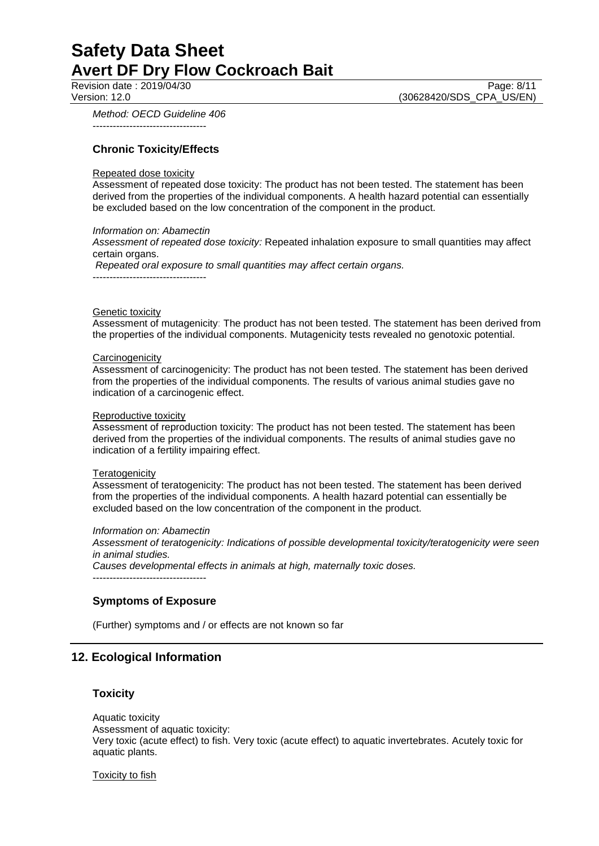*Method: OECD Guideline 406*

----------------------------------

# **Chronic Toxicity/Effects**

#### Repeated dose toxicity

Assessment of repeated dose toxicity: The product has not been tested. The statement has been derived from the properties of the individual components. A health hazard potential can essentially be excluded based on the low concentration of the component in the product.

#### *Information on: Abamectin*

*Assessment of repeated dose toxicity:* Repeated inhalation exposure to small quantities may affect certain organs.

*Repeated oral exposure to small quantities may affect certain organs.*

----------------------------------

#### **Genetic toxicity**

Assessment of mutagenicity: The product has not been tested. The statement has been derived from the properties of the individual components. Mutagenicity tests revealed no genotoxic potential.

#### **Carcinogenicity**

Assessment of carcinogenicity: The product has not been tested. The statement has been derived from the properties of the individual components. The results of various animal studies gave no indication of a carcinogenic effect.

#### Reproductive toxicity

Assessment of reproduction toxicity: The product has not been tested. The statement has been derived from the properties of the individual components. The results of animal studies gave no indication of a fertility impairing effect.

#### **Teratogenicity**

Assessment of teratogenicity: The product has not been tested. The statement has been derived from the properties of the individual components. A health hazard potential can essentially be excluded based on the low concentration of the component in the product.

*Information on: Abamectin Assessment of teratogenicity: Indications of possible developmental toxicity/teratogenicity were seen in animal studies. Causes developmental effects in animals at high, maternally toxic doses.*

----------------------------------

### **Symptoms of Exposure**

(Further) symptoms and / or effects are not known so far

# **12. Ecological Information**

#### **Toxicity**

Aquatic toxicity Assessment of aquatic toxicity: Very toxic (acute effect) to fish. Very toxic (acute effect) to aquatic invertebrates. Acutely toxic for aquatic plants.

Toxicity to fish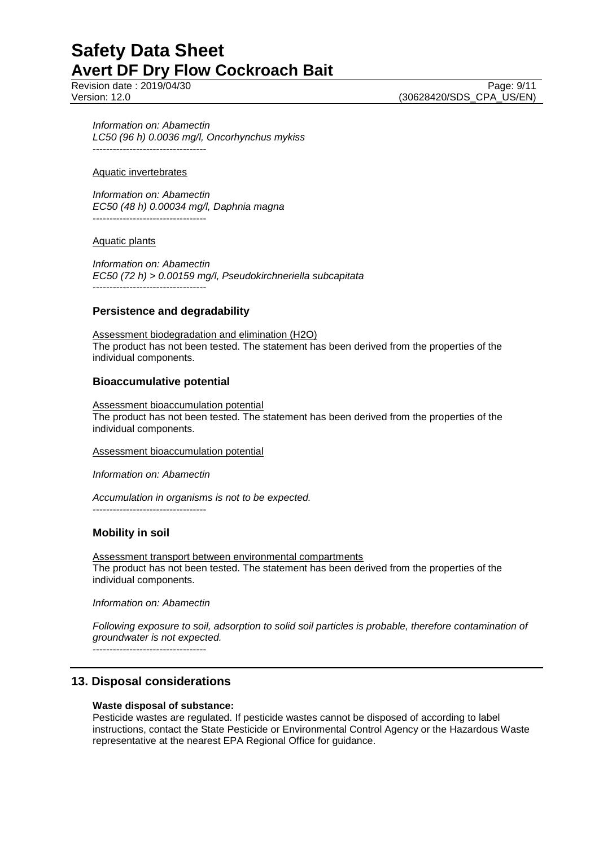Revision date : 2019/04/30 Page: 9/11<br>Version: 12.0 (30628420/SDS CPA US/EN)

(30628420/SDS\_CPA\_US/EN)

*Information on: Abamectin LC50 (96 h) 0.0036 mg/l, Oncorhynchus mykiss*  $-$ 

### Aquatic invertebrates

*Information on: Abamectin EC50 (48 h) 0.00034 mg/l, Daphnia magna* ----------------------------------

## Aquatic plants

*Information on: Abamectin EC50 (72 h) > 0.00159 mg/l, Pseudokirchneriella subcapitata* ----------------------------------

# **Persistence and degradability**

Assessment biodegradation and elimination (H2O) The product has not been tested. The statement has been derived from the properties of the individual components.

# **Bioaccumulative potential**

Assessment bioaccumulation potential The product has not been tested. The statement has been derived from the properties of the individual components.

#### Assessment bioaccumulation potential

*Information on: Abamectin*

*Accumulation in organisms is not to be expected.* ----------------------------------

# **Mobility in soil**

Assessment transport between environmental compartments The product has not been tested. The statement has been derived from the properties of the individual components.

*Information on: Abamectin*

*Following exposure to soil, adsorption to solid soil particles is probable, therefore contamination of groundwater is not expected.*

----------------------------------

# **13. Disposal considerations**

# **Waste disposal of substance:**

Pesticide wastes are regulated. If pesticide wastes cannot be disposed of according to label instructions, contact the State Pesticide or Environmental Control Agency or the Hazardous Waste representative at the nearest EPA Regional Office for guidance.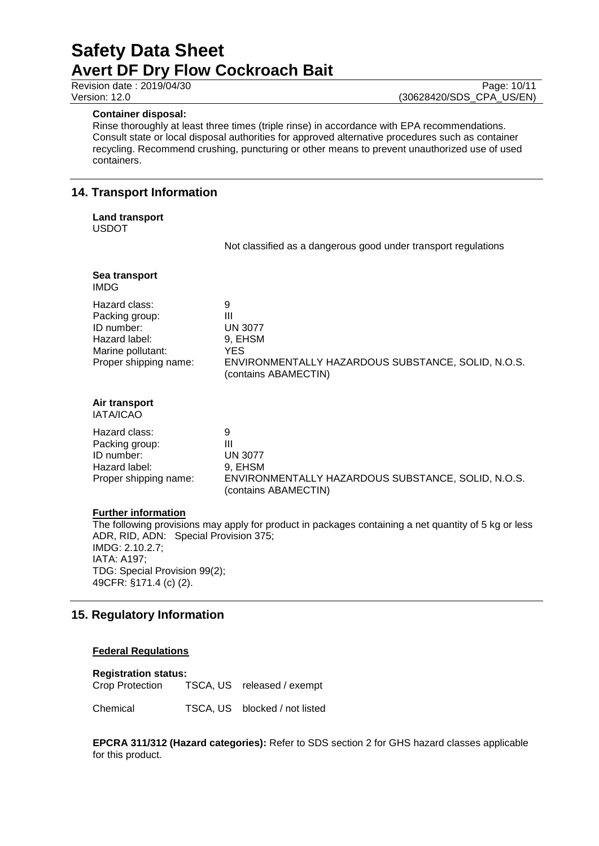### **Container disposal:**

Rinse thoroughly at least three times (triple rinse) in accordance with EPA recommendations. Consult state or local disposal authorities for approved alternative procedures such as container recycling. Recommend crushing, puncturing or other means to prevent unauthorized use of used containers.

# **14. Transport Information**

**Land transport**

USDOT

Not classified as a dangerous good under transport regulations

| Sea transport<br><b>IMDG</b>                                                                                 |                                                                                                                                 |
|--------------------------------------------------------------------------------------------------------------|---------------------------------------------------------------------------------------------------------------------------------|
| Hazard class:<br>Packing group:<br>ID number:<br>Hazard label:<br>Marine pollutant:<br>Proper shipping name: | 9<br>Ш<br><b>UN 3077</b><br>9, EHSM<br><b>YES</b><br>ENVIRONMENTALLY HAZARDOUS SUBSTANCE, SOLID, N.O.S.<br>(contains ABAMECTIN) |
| Air transport<br>IATA/ICAO                                                                                   |                                                                                                                                 |
| Hazard class:<br>Packing group:<br>ID number:<br>Hazard label:<br>Proper shipping name:                      | 9<br>Ш<br><b>UN 3077</b><br>9, EHSM<br>ENVIRONMENTALLY HAZARDOUS SUBSTANCE, SOLID, N.O.S.<br>(contains ABAMECTIN)               |

# **Further information**

The following provisions may apply for product in packages containing a net quantity of 5 kg or less ADR, RID, ADN: Special Provision 375; IMDG: 2.10.2.7; IATA: A197; TDG: Special Provision 99(2); 49CFR: §171.4 (c) (2).

# **15. Regulatory Information**

# **Federal Regulations**

**Registration status:**

Crop Protection TSCA, US released / exempt

Chemical TSCA, US blocked / not listed

**EPCRA 311/312 (Hazard categories):** Refer to SDS section 2 for GHS hazard classes applicable for this product.

Revision date : 2019/04/30 Page: 10/11<br>Version: 12.0 (30628420/SDS CPA US/EN) (30628420/SDS\_CPA\_US/EN)